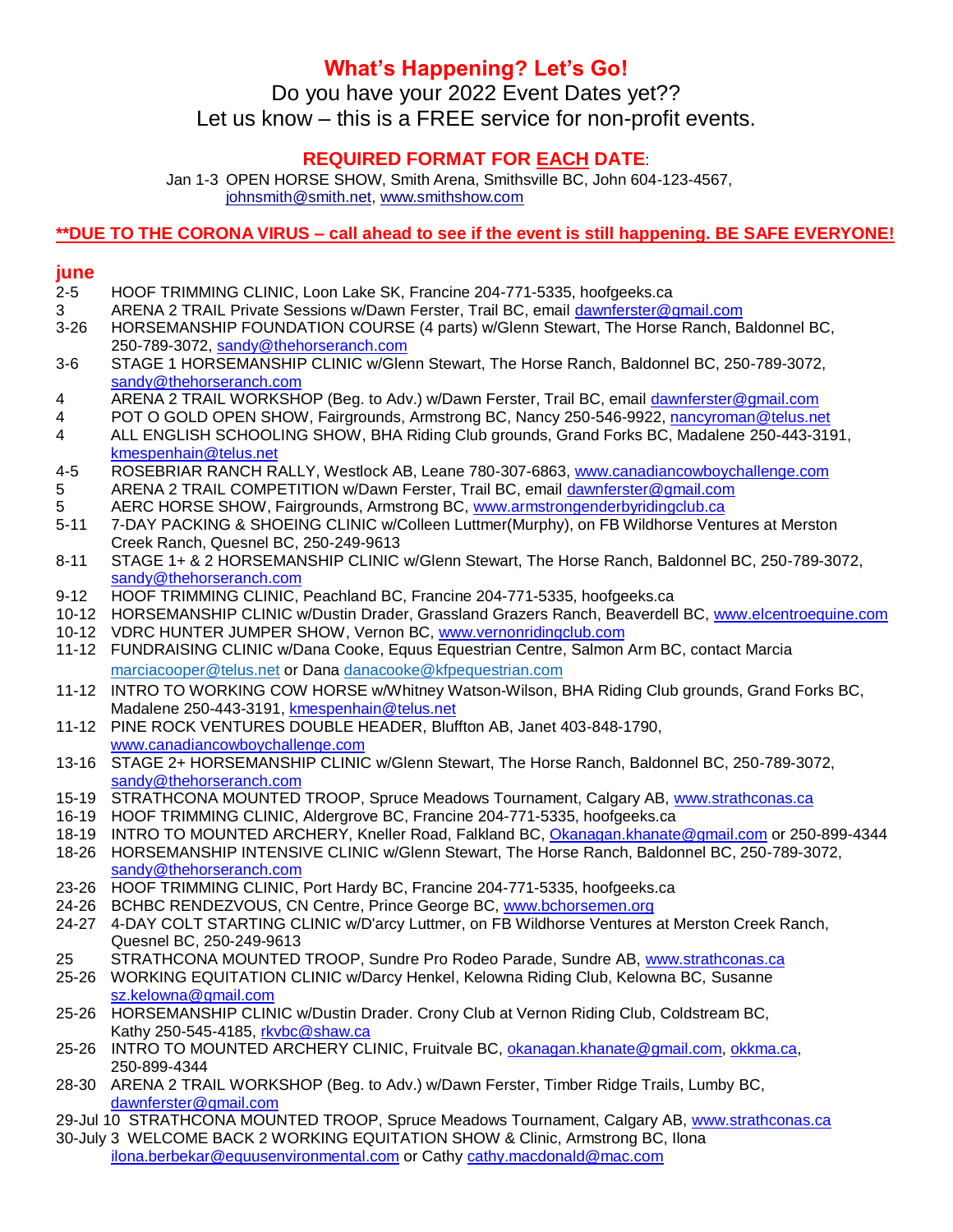## **What's Happening? Let's Go!**

Do you have your 2022 Event Dates yet?? Let us know – this is a FREE service for non-profit events.

### **REQUIRED FORMAT FOR EACH DATE**:

Jan 1-3 OPEN HORSE SHOW, Smith Arena, Smithsville BC, John 604-123-4567, [johnsmith@smith.net,](mailto:johnsmith@smith.net) [www.smithshow.com](http://www.smithshow.com/)

#### **\*\*DUE TO THE CORONA VIRUS – call ahead to see if the event is still happening. BE SAFE EVERYONE!**

#### **june**

- 2-5 HOOF TRIMMING CLINIC, Loon Lake SK, Francine 204-771-5335, hoofgeeks.ca 3 ARENA 2 TRAIL Private Sessions w/Dawn Ferster, Trail BC, email [dawnferster@gmail.com](mailto:dawnferster@gmail.com) 3-26 HORSEMANSHIP FOUNDATION COURSE (4 parts) w/Glenn Stewart, The Horse Ranch, Baldonnel BC, 250-789-3072, [sandy@thehorseranch.com](mailto:sandy@thehorseranch.com)
- 3-6 STAGE 1 HORSEMANSHIP CLINIC w/Glenn Stewart, The Horse Ranch, Baldonnel BC, 250-789-3072, [sandy@thehorseranch.com](mailto:sandy@thehorseranch.com)
- 4 ARENA 2 TRAIL WORKSHOP (Beg. to Adv.) w/Dawn Ferster, Trail BC, email [dawnferster@gmail.com](mailto:dawnferster@gmail.com)
- 4 POT O GOLD OPEN SHOW, Fairgrounds, Armstrong BC, Nancy 250-546-9922[, nancyroman@telus.net](mailto:nancyroman@telus.net)
- 4 ALL ENGLISH SCHOOLING SHOW, BHA Riding Club grounds, Grand Forks BC, Madalene 250-443-3191, [kmespenhain@telus.net](mailto:kmespenhain@telus.net)
- 4-5 ROSEBRIAR RANCH RALLY, Westlock AB, Leane 780-307-6863, [www.canadiancowboychallenge.com](http://www.canadiancowboychallenge.com/) 5 ARENA 2 TRAIL COMPETITION w/Dawn Ferster, Trail BC, email [dawnferster@gmail.com](mailto:dawnferster@gmail.com)
- 5 AERC HORSE SHOW, Fairgrounds, Armstrong BC, [www.armstrongenderbyridingclub.ca](http://www.armstrongenderbyridingclub.ca/)
- 5-11 7-DAY PACKING & SHOEING CLINIC w/Colleen Luttmer(Murphy), on FB Wildhorse Ventures at Merston Creek Ranch, Quesnel BC, 250-249-9613
- 8-11 STAGE 1+ & 2 HORSEMANSHIP CLINIC w/Glenn Stewart, The Horse Ranch, Baldonnel BC, 250-789-3072, [sandy@thehorseranch.com](mailto:sandy@thehorseranch.com)
- 9-12 HOOF TRIMMING CLINIC, Peachland BC, Francine 204-771-5335, hoofgeeks.ca
- 10-12 HORSEMANSHIP CLINIC w/Dustin Drader, Grassland Grazers Ranch, Beaverdell BC, [www.elcentroequine.com](http://www.elcentroequine.com/)
- 10-12 VDRC HUNTER JUMPER SHOW, Vernon BC, [www.vernonridingclub.com](http://www.vernonridingclub.com/)
- 11-12 FUNDRAISING CLINIC w/Dana Cooke, Equus Equestrian Centre, Salmon Arm BC, contact Marcia [marciacooper@telus.net](mailto:marciacooper@telus.net) or Dana [danacooke@kfpequestrian.com](mailto:danacooke@kfpequestrian.com)
- 11-12 INTRO TO WORKING COW HORSE w/Whitney Watson-Wilson, BHA Riding Club grounds, Grand Forks BC, Madalene 250-443-3191, [kmespenhain@telus.net](mailto:kmespenhain@telus.net)
- 11-12 PINE ROCK VENTURES DOUBLE HEADER, Bluffton AB, Janet 403-848-1790, [www.canadiancowboychallenge.com](http://www.canadiancowboychallenge.com/)
- 13-16 STAGE 2+ HORSEMANSHIP CLINIC w/Glenn Stewart, The Horse Ranch, Baldonnel BC, 250-789-3072, [sandy@thehorseranch.com](mailto:sandy@thehorseranch.com)
- 15-19 STRATHCONA MOUNTED TROOP, Spruce Meadows Tournament, Calgary AB, [www.strathconas.ca](http://www.strathconas.ca/)
- 16-19 HOOF TRIMMING CLINIC, Aldergrove BC, Francine 204-771-5335, hoofgeeks.ca
- 18-19 INTRO TO MOUNTED ARCHERY, Kneller Road, Falkland BC, [Okanagan.khanate@gmail.com](mailto:Okanagan.khanate@gmail.com) or 250-899-4344
- 18-26 HORSEMANSHIP INTENSIVE CLINIC w/Glenn Stewart, The Horse Ranch, Baldonnel BC, 250-789-3072, [sandy@thehorseranch.com](mailto:sandy@thehorseranch.com)
- 23-26 HOOF TRIMMING CLINIC, Port Hardy BC, Francine 204-771-5335, hoofgeeks.ca
- 24-26 BCHBC RENDEZVOUS, CN Centre, Prince George BC, [www.bchorsemen.org](http://www.bchorsemen.org/)
- 24-27 4-DAY COLT STARTING CLINIC w/D'arcy Luttmer, on FB Wildhorse Ventures at Merston Creek Ranch, Quesnel BC, 250-249-9613
- 25 STRATHCONA MOUNTED TROOP, Sundre Pro Rodeo Parade, Sundre AB, [www.strathconas.ca](http://www.strathconas.ca/)
- 25-26 WORKING EQUITATION CLINIC w/Darcy Henkel, Kelowna Riding Club, Kelowna BC, Susanne [sz.kelowna@gmail.com](mailto:sz.kelowna@gmail.com)
- 25-26 HORSEMANSHIP CLINIC w/Dustin Drader. Crony Club at Vernon Riding Club, Coldstream BC, Kathy 250-545-4185, [rkvbc@shaw.ca](mailto:rkvbc@shaw.ca)
- 25-26 INTRO TO MOUNTED ARCHERY CLINIC, Fruitvale BC, [okanagan.khanate@gmail.com,](mailto:okanagan.khanate@gmail.com) [okkma.ca,](http://okkma.ca/) 250-899-4344
- 28-30 ARENA 2 TRAIL WORKSHOP (Beg. to Adv.) w/Dawn Ferster, Timber Ridge Trails, Lumby BC, [dawnferster@gmail.com](mailto:dawnferster@gmail.com)
- 29-Jul 10 STRATHCONA MOUNTED TROOP, Spruce Meadows Tournament, Calgary AB, [www.strathconas.ca](http://www.strathconas.ca/)
- 30-July 3 WELCOME BACK 2 WORKING EQUITATION SHOW & Clinic, Armstrong BC, Ilona [ilona.berbekar@equusenvironmental.com](mailto:ilona.berbekar@equusenvironmental.com) or Cathy [cathy.macdonald@mac.com](mailto:cathy.macdonald@mac.com)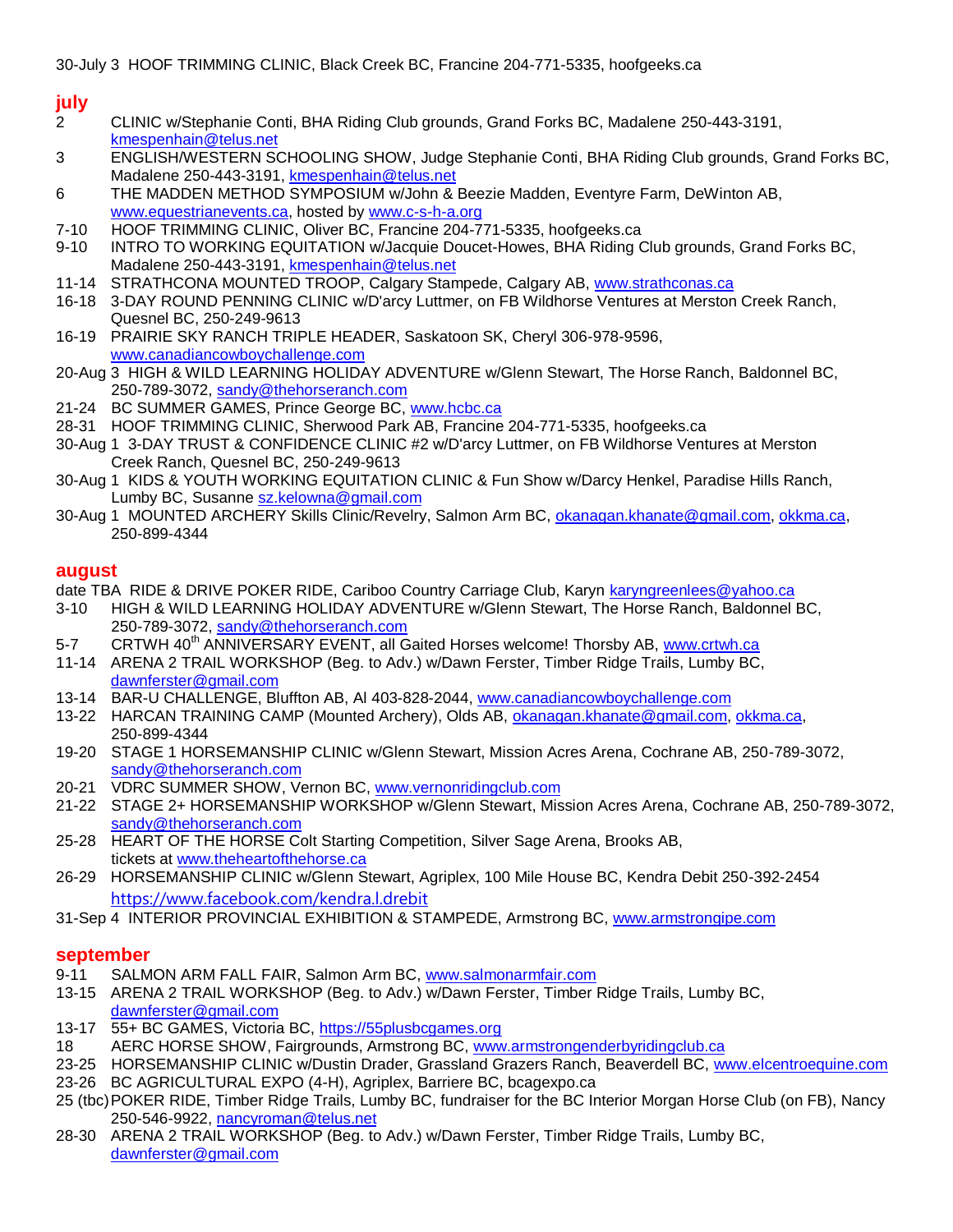# **july**

- 2 CLINIC w/Stephanie Conti, BHA Riding Club grounds, Grand Forks BC, Madalene 250-443-3191, [kmespenhain@telus.net](mailto:kmespenhain@telus.net)
- 3 ENGLISH/WESTERN SCHOOLING SHOW, Judge Stephanie Conti, BHA Riding Club grounds, Grand Forks BC, Madalene 250-443-3191, [kmespenhain@telus.net](mailto:kmespenhain@telus.net)
- 6 THE MADDEN METHOD SYMPOSIUM w/John & Beezie Madden, Eventyre Farm, DeWinton AB, [www.equestrianevents.ca,](http://www.equestrianevents.ca/) hosted by [www.c-s-h-a.org](http://www.c-s-h-a.org/)
- 7-10 HOOF TRIMMING CLINIC, Oliver BC, Francine 204-771-5335, hoofgeeks.ca
- 9-10 INTRO TO WORKING EQUITATION w/Jacquie Doucet-Howes, BHA Riding Club grounds, Grand Forks BC, Madalene 250-443-3191, [kmespenhain@telus.net](mailto:kmespenhain@telus.net)
- 11-14 STRATHCONA MOUNTED TROOP, Calgary Stampede, Calgary AB, [www.strathconas.ca](http://www.strathconas.ca/)
- 16-18 3-DAY ROUND PENNING CLINIC w/D'arcy Luttmer, on FB Wildhorse Ventures at Merston Creek Ranch, Quesnel BC, 250-249-9613
- 16-19 PRAIRIE SKY RANCH TRIPLE HEADER, Saskatoon SK, Cheryl 306-978-9596, [www.canadiancowboychallenge.com](http://www.canadiancowboychallenge.com/)
- 20-Aug 3 HIGH & WILD LEARNING HOLIDAY ADVENTURE w/Glenn Stewart, The Horse Ranch, Baldonnel BC, 250-789-3072, [sandy@thehorseranch.com](mailto:sandy@thehorseranch.com)
- 21-24 BC SUMMER GAMES, Prince George BC, [www.hcbc.ca](http://www.hcbc.ca/)
- 28-31 HOOF TRIMMING CLINIC, Sherwood Park AB, Francine 204-771-5335, hoofgeeks.ca
- 30-Aug 1 3-DAY TRUST & CONFIDENCE CLINIC #2 w/D'arcy Luttmer, on FB Wildhorse Ventures at Merston Creek Ranch, Quesnel BC, 250-249-9613
- 30-Aug 1 KIDS & YOUTH WORKING EQUITATION CLINIC & Fun Show w/Darcy Henkel, Paradise Hills Ranch, Lumby BC, Susanne [sz.kelowna@gmail.com](mailto:sz.kelowna@gmail.com)
- 30-Aug 1 MOUNTED ARCHERY Skills Clinic/Revelry, Salmon Arm BC, [okanagan.khanate@gmail.com,](mailto:okanagan.khanate@gmail.com) [okkma.ca,](http://okkma.ca/) 250-899-4344

#### **august**

- date TBA RIDE & DRIVE POKER RIDE, Cariboo Country Carriage Club, Karyn [karyngreenlees@yahoo.ca](mailto:karyngreenlees@yahoo.ca)
- 3-10 HIGH & WILD LEARNING HOLIDAY ADVENTURE w/Glenn Stewart, The Horse Ranch, Baldonnel BC, 250-789-3072, [sandy@thehorseranch.com](mailto:sandy@thehorseranch.com)
- 5-7 CRTWH 40<sup>th</sup> ANNIVERSARY EVENT, all Gaited Horses welcome! Thorsby AB, [www.crtwh.ca](http://www.crtwh.ca/)
- 11-14 ARENA 2 TRAIL WORKSHOP (Beg. to Adv.) w/Dawn Ferster, Timber Ridge Trails, Lumby BC, [dawnferster@gmail.com](mailto:dawnferster@gmail.com)
- 13-14 BAR-U CHALLENGE, Bluffton AB, Al 403-828-2044[, www.canadiancowboychallenge.com](http://www.canadiancowboychallenge.com/)
- 13-22 HARCAN TRAINING CAMP (Mounted Archery), Olds AB, [okanagan.khanate@gmail.com,](mailto:okanagan.khanate@gmail.com) [okkma.ca,](http://okkma.ca/) 250-899-4344
- 19-20 STAGE 1 HORSEMANSHIP CLINIC w/Glenn Stewart, Mission Acres Arena, Cochrane AB, 250-789-3072, [sandy@thehorseranch.com](mailto:sandy@thehorseranch.com)
- 20-21 VDRC SUMMER SHOW, Vernon BC, [www.vernonridingclub.com](http://www.vernonridingclub.com/)
- 21-22 STAGE 2+ HORSEMANSHIP WORKSHOP w/Glenn Stewart, Mission Acres Arena, Cochrane AB, 250-789-3072, [sandy@thehorseranch.com](mailto:sandy@thehorseranch.com)
- 25-28 HEART OF THE HORSE Colt Starting Competition, Silver Sage Arena, Brooks AB, tickets at [www.theheartofthehorse.ca](http://www.theheartofthehorse.ca/)
- 26-29 HORSEMANSHIP CLINIC w/Glenn Stewart, Agriplex, 100 Mile House BC, Kendra Debit 250-392-2454 <https://www.facebook.com/kendra.l.drebit>
- 31-Sep 4 INTERIOR PROVINCIAL EXHIBITION & STAMPEDE, Armstrong BC, [www.armstrongipe.com](http://www.armstrongipe.com/)

#### **september**

- 9-11 SALMON ARM FALL FAIR, Salmon Arm BC, [www.salmonarmfair.com](http://www.salmonarmfair.com/)
- 13-15 ARENA 2 TRAIL WORKSHOP (Beg. to Adv.) w/Dawn Ferster, Timber Ridge Trails, Lumby BC, [dawnferster@gmail.com](mailto:dawnferster@gmail.com)
- 13-17 55+ BC GAMES, Victoria BC, [https://55plusbcgames.org](https://55plusbcgames.org/)
- 18 AERC HORSE SHOW, Fairgrounds, Armstrong BC, [www.armstrongenderbyridingclub.ca](http://www.armstrongenderbyridingclub.ca/)
- 23-25 HORSEMANSHIP CLINIC w/Dustin Drader, Grassland Grazers Ranch, Beaverdell BC, [www.elcentroequine.com](http://www.elcentroequine.com/) 23-26 BC AGRICULTURAL EXPO (4-H), Agriplex, Barriere BC, bcagexpo.ca
- 25 (tbc)POKER RIDE, Timber Ridge Trails, Lumby BC, fundraiser for the BC Interior Morgan Horse Club (on FB), Nancy 250-546-9922, [nancyroman@telus.net](mailto:nancyroman@telus.net)
- 28-30 ARENA 2 TRAIL WORKSHOP (Beg. to Adv.) w/Dawn Ferster, Timber Ridge Trails, Lumby BC, [dawnferster@gmail.com](mailto:dawnferster@gmail.com)